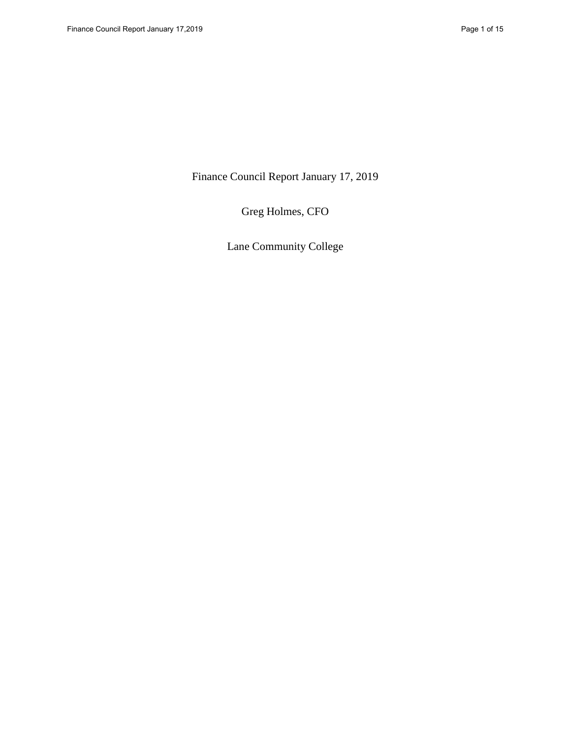Finance Council Report January 17, 2019

Greg Holmes, CFO

Lane Community College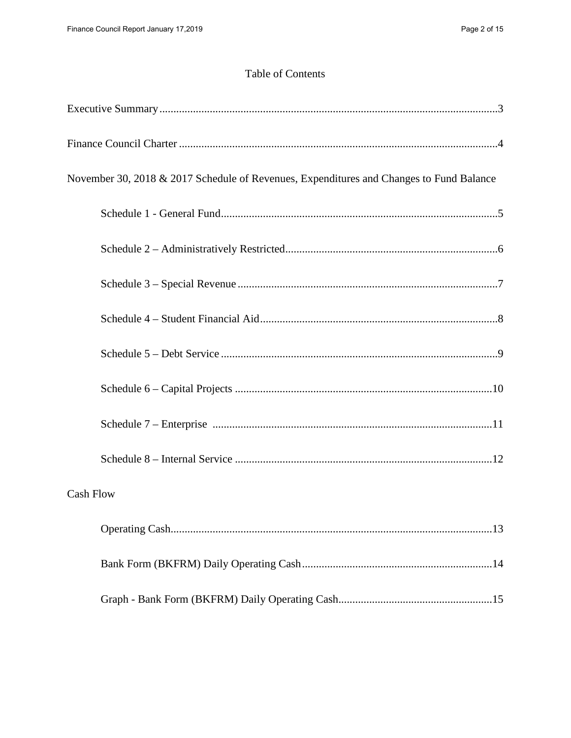# Table of Contents

| November 30, 2018 & 2017 Schedule of Revenues, Expenditures and Changes to Fund Balance |
|-----------------------------------------------------------------------------------------|
|                                                                                         |
|                                                                                         |
|                                                                                         |
|                                                                                         |
|                                                                                         |
|                                                                                         |
|                                                                                         |
|                                                                                         |
| <b>Cash Flow</b>                                                                        |
|                                                                                         |
|                                                                                         |
|                                                                                         |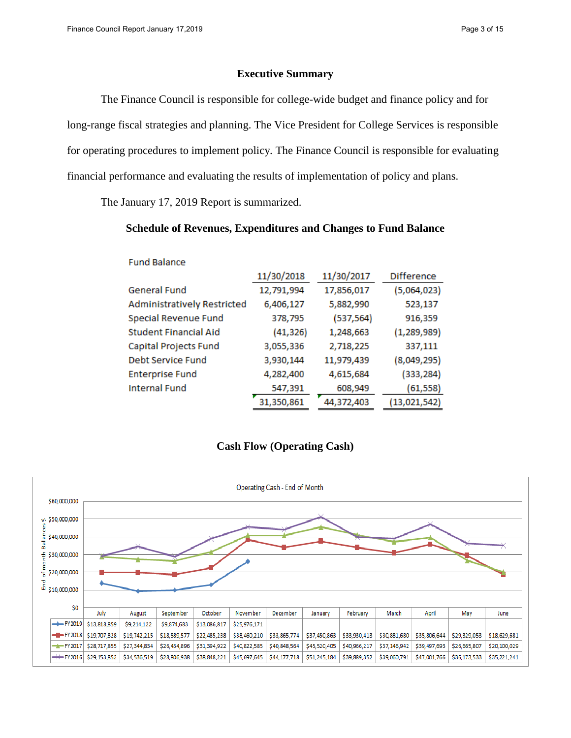### **Executive Summary**

The Finance Council is responsible for college-wide budget and finance policy and for long-range fiscal strategies and planning. The Vice President for College Services is responsible for operating procedures to implement policy. The Finance Council is responsible for evaluating financial performance and evaluating the results of implementation of policy and plans.

The January 17, 2019 Report is summarized.

### **Schedule of Revenues, Expenditures and Changes to Fund Balance**

| <b>Fund Balance</b>                |            |            |                   |
|------------------------------------|------------|------------|-------------------|
|                                    | 11/30/2018 | 11/30/2017 | <b>Difference</b> |
| <b>General Fund</b>                | 12,791,994 | 17,856,017 | (5,064,023)       |
| <b>Administratively Restricted</b> | 6,406,127  | 5,882,990  | 523,137           |
| Special Revenue Fund               | 378,795    | (537, 564) | 916,359           |
| <b>Student Financial Aid</b>       | (41, 326)  | 1,248,663  | (1, 289, 989)     |
| Capital Projects Fund              | 3,055,336  | 2,718,225  | 337,111           |
| Debt Service Fund                  | 3,930,144  | 11,979,439 | (8,049,295)       |
| <b>Enterprise Fund</b>             | 4,282,400  | 4,615,684  | (333, 284)        |
| <b>Internal Fund</b>               | 547,391    | 608,949    | (61, 558)         |
|                                    | 31,350,861 | 44,372,403 | (13,021,542)      |

# **Cash Flow (Operating Cash)**

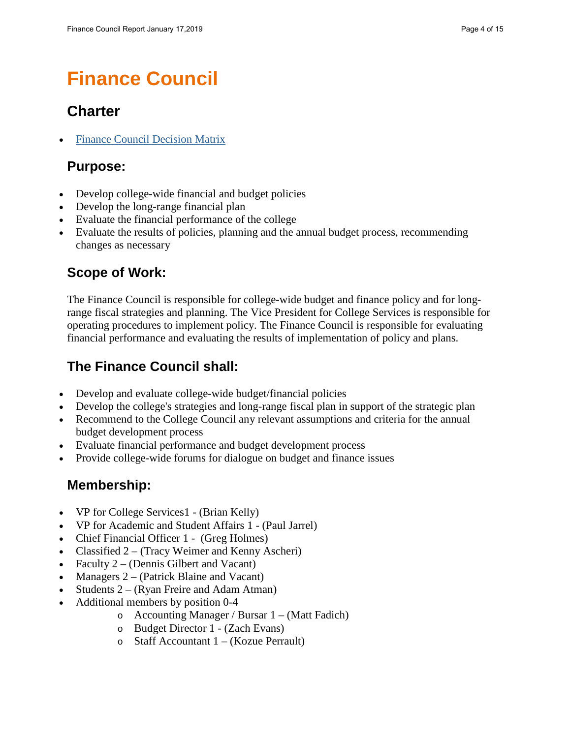# **Finance Council**

# **Charter**

• [Finance Council Decision](https://www.lanecc.edu/sites/default/files/governance/finance/fincounmatrix.pdf) Matrix

# **Purpose:**

- Develop college-wide financial and budget policies
- Develop the long-range financial plan
- Evaluate the financial performance of the college
- Evaluate the results of policies, planning and the annual budget process, recommending changes as necessary

# **Scope of Work:**

The Finance Council is responsible for college-wide budget and finance policy and for longrange fiscal strategies and planning. The Vice President for College Services is responsible for operating procedures to implement policy. The Finance Council is responsible for evaluating financial performance and evaluating the results of implementation of policy and plans.

# **The Finance Council shall:**

- Develop and evaluate college-wide budget/financial policies
- Develop the college's strategies and long-range fiscal plan in support of the strategic plan
- Recommend to the College Council any relevant assumptions and criteria for the annual budget development process
- Evaluate financial performance and budget development process
- Provide college-wide forums for dialogue on budget and finance issues

# **Membership:**

- VP for College Services1 (Brian Kelly)
- VP for Academic and Student Affairs 1 (Paul Jarrel)
- Chief Financial Officer 1 (Greg Holmes)
- Classified 2 (Tracy Weimer and Kenny Ascheri)
- Faculty  $2 (Dennis Gilbert and Vacant)$
- Managers 2 (Patrick Blaine and Vacant)
- Students 2 (Ryan Freire and Adam Atman)
- Additional members by position 0-4
	- o Accounting Manager / Bursar  $1 (Matt$  Fadich)
	- o Budget Director 1 (Zach Evans)
	- $\circ$  Staff Accountant 1 (Kozue Perrault)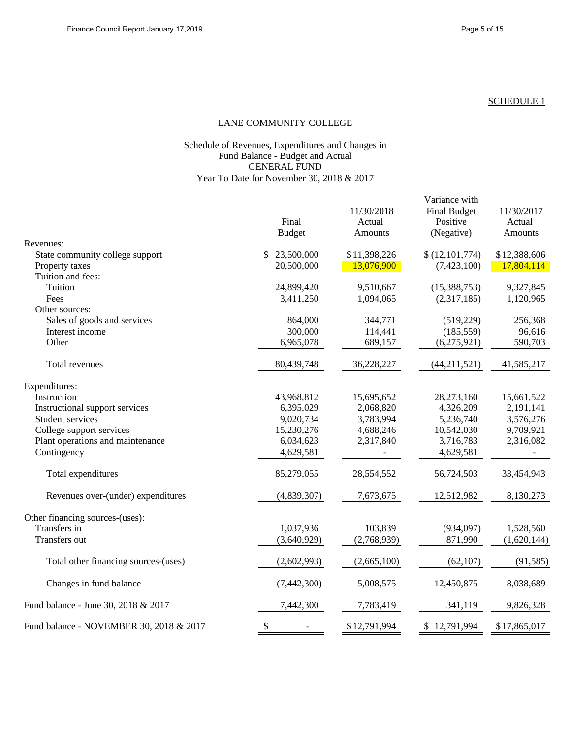#### LANE COMMUNITY COLLEGE

#### Schedule of Revenues, Expenditures and Changes in Fund Balance - Budget and Actual GENERAL FUND Year To Date for November 30, 2018 & 2017

|                                         | Final         | 11/30/2018<br>Actual | Variance with<br><b>Final Budget</b><br>Positive | 11/30/2017<br>Actual |
|-----------------------------------------|---------------|----------------------|--------------------------------------------------|----------------------|
|                                         | <b>Budget</b> | Amounts              | (Negative)                                       | Amounts              |
| Revenues:                               |               |                      |                                                  |                      |
| State community college support         | 23,500,000    | \$11,398,226         | \$(12,101,774)                                   | \$12,388,606         |
| Property taxes                          | 20,500,000    | 13,076,900           | (7, 423, 100)                                    | 17,804,114           |
| Tuition and fees:                       |               |                      |                                                  |                      |
| Tuition                                 | 24,899,420    | 9,510,667            | (15,388,753)                                     | 9,327,845            |
| Fees                                    | 3,411,250     | 1,094,065            | (2,317,185)                                      | 1,120,965            |
| Other sources:                          |               |                      |                                                  |                      |
| Sales of goods and services             | 864,000       | 344,771              | (519, 229)                                       | 256,368              |
| Interest income<br>Other                | 300,000       | 114,441              | (185, 559)                                       | 96,616               |
|                                         | 6,965,078     | 689,157              | (6,275,921)                                      | 590,703              |
| Total revenues                          | 80,439,748    | 36,228,227           | (44,211,521)                                     | 41,585,217           |
| Expenditures:                           |               |                      |                                                  |                      |
| Instruction                             | 43,968,812    | 15,695,652           | 28,273,160                                       | 15,661,522           |
| Instructional support services          | 6,395,029     | 2,068,820            | 4,326,209                                        | 2,191,141            |
| <b>Student services</b>                 | 9,020,734     | 3,783,994            | 5,236,740                                        | 3,576,276            |
| College support services                | 15,230,276    | 4,688,246            | 10,542,030                                       | 9,709,921            |
| Plant operations and maintenance        | 6,034,623     | 2,317,840            | 3,716,783                                        | 2,316,082            |
| Contingency                             | 4,629,581     |                      | 4,629,581                                        |                      |
| Total expenditures                      | 85,279,055    | 28,554,552           | 56,724,503                                       | 33,454,943           |
| Revenues over-(under) expenditures      | (4,839,307)   | 7,673,675            | 12,512,982                                       | 8,130,273            |
| Other financing sources-(uses):         |               |                      |                                                  |                      |
| Transfers in                            | 1,037,936     | 103,839              | (934,097)                                        | 1,528,560            |
| Transfers out                           | (3,640,929)   | (2,768,939)          | 871,990                                          | (1,620,144)          |
| Total other financing sources-(uses)    | (2,602,993)   | (2,665,100)          | (62, 107)                                        | (91, 585)            |
| Changes in fund balance                 | (7,442,300)   | 5,008,575            | 12,450,875                                       | 8,038,689            |
| Fund balance - June 30, 2018 & 2017     | 7,442,300     | 7,783,419            | 341,119                                          | 9,826,328            |
| Fund balance - NOVEMBER 30, 2018 & 2017 | \$            | \$12,791,994         | \$12,791,994                                     | \$17,865,017         |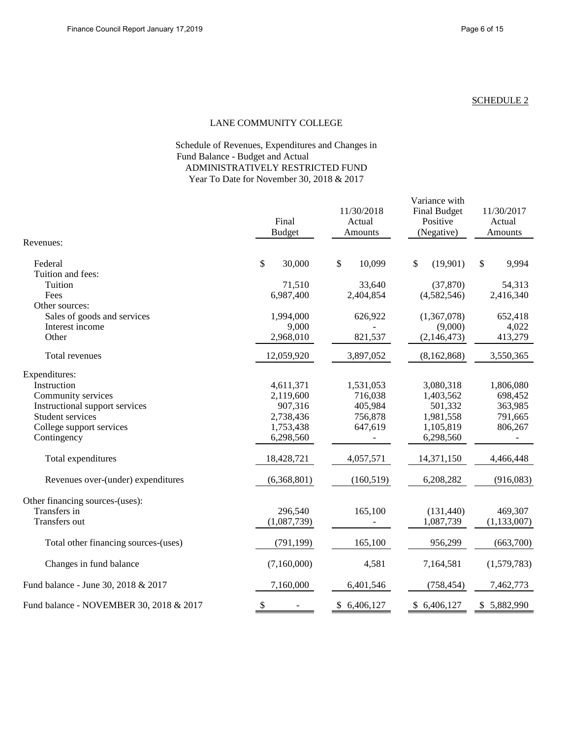Variance with

#### SCHEDULE 2

#### LANE COMMUNITY COLLEGE

### Fund Balance - Budget and Actual Schedule of Revenues, Expenditures and Changes in ADMINISTRATIVELY RESTRICTED FUND Year To Date for November 30, 2018 & 2017

|                                         | Final<br><b>Budget</b> | 11/30/2018<br>Actual<br>Amounts     | <b>Final Budget</b><br>Positive<br>(Negative) | 11/30/2017<br>Actual<br>Amounts |  |
|-----------------------------------------|------------------------|-------------------------------------|-----------------------------------------------|---------------------------------|--|
| Revenues:                               |                        |                                     |                                               |                                 |  |
| Federal                                 | \$<br>30,000           | $\boldsymbol{\mathsf{S}}$<br>10,099 | \$<br>(19,901)                                | 9,994<br>\$                     |  |
| Tuition and fees:                       |                        |                                     |                                               |                                 |  |
| Tuition                                 | 71,510                 | 33,640                              | (37, 870)                                     | 54,313                          |  |
| Fees                                    | 6,987,400              | 2,404,854                           | (4,582,546)                                   | 2,416,340                       |  |
| Other sources:                          |                        |                                     |                                               |                                 |  |
| Sales of goods and services             | 1,994,000              | 626,922                             | (1,367,078)                                   | 652,418                         |  |
| Interest income                         | 9,000                  |                                     | (9,000)                                       | 4,022                           |  |
| Other                                   | 2,968,010              | 821,537                             | (2,146,473)                                   | 413,279                         |  |
| Total revenues                          | 12,059,920             | 3,897,052                           | (8,162,868)                                   | 3,550,365                       |  |
| Expenditures:                           |                        |                                     |                                               |                                 |  |
| Instruction                             | 4,611,371              | 1,531,053                           | 3,080,318                                     | 1,806,080                       |  |
| Community services                      | 2,119,600              | 716,038                             | 1,403,562                                     | 698,452                         |  |
| Instructional support services          | 907,316                | 405,984                             | 501,332                                       | 363,985                         |  |
| Student services                        | 2,738,436              | 756,878                             | 1,981,558                                     | 791,665                         |  |
| College support services                | 1,753,438              | 647,619                             | 1,105,819                                     | 806,267                         |  |
| Contingency                             | 6,298,560              |                                     | 6,298,560                                     |                                 |  |
| Total expenditures                      | 18,428,721             | 4,057,571                           | 14,371,150                                    | 4,466,448                       |  |
| Revenues over-(under) expenditures      | (6,368,801)            | (160, 519)                          | 6,208,282                                     | (916,083)                       |  |
| Other financing sources-(uses):         |                        |                                     |                                               |                                 |  |
| Transfers in                            | 296,540                | 165,100                             | (131, 440)                                    | 469,307                         |  |
| Transfers out                           | (1,087,739)            |                                     | 1,087,739                                     | (1, 133, 007)                   |  |
| Total other financing sources-(uses)    | (791, 199)             | 165,100                             | 956,299                                       | (663,700)                       |  |
| Changes in fund balance                 | (7,160,000)            | 4,581                               | 7,164,581                                     | (1,579,783)                     |  |
| Fund balance - June 30, 2018 & 2017     | 7,160,000              | 6,401,546                           | (758, 454)                                    | 7,462,773                       |  |
| Fund balance - NOVEMBER 30, 2018 & 2017 | \$                     | \$6,406,127                         | \$6,406,127                                   | \$5,882,990                     |  |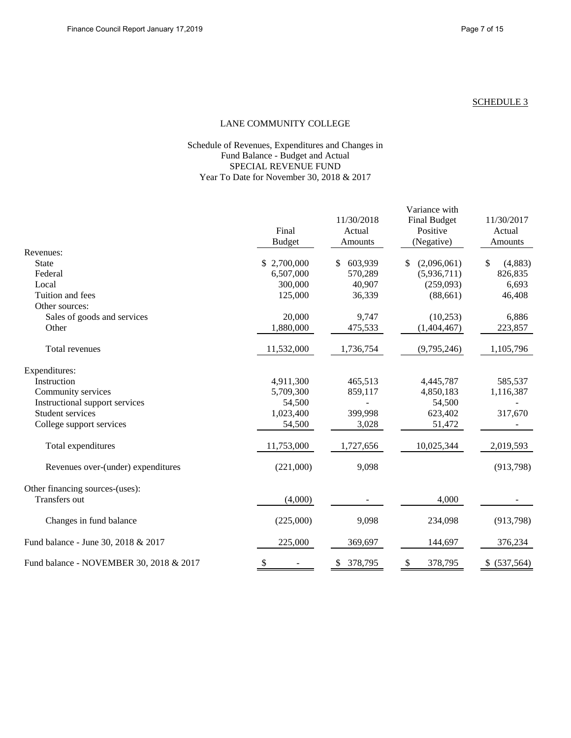#### LANE COMMUNITY COLLEGE

#### Schedule of Revenues, Expenditures and Changes in Fund Balance - Budget and Actual SPECIAL REVENUE FUND Year To Date for November 30, 2018 & 2017

|                                         | Final<br><b>Budget</b> | 11/30/2018<br>Actual<br>Amounts | Variance with<br><b>Final Budget</b><br>Positive<br>(Negative) | 11/30/2017<br>Actual<br>Amounts |
|-----------------------------------------|------------------------|---------------------------------|----------------------------------------------------------------|---------------------------------|
| Revenues:                               |                        |                                 |                                                                |                                 |
| <b>State</b>                            | \$2,700,000            | 603,939<br>\$                   | (2,096,061)<br>\$                                              | \$<br>(4,883)                   |
| Federal                                 | 6,507,000              | 570,289                         | (5,936,711)                                                    | 826,835                         |
| Local                                   | 300,000                | 40,907                          | (259,093)                                                      | 6,693                           |
| Tuition and fees                        | 125,000                | 36,339                          | (88, 661)                                                      | 46,408                          |
| Other sources:                          |                        |                                 |                                                                |                                 |
| Sales of goods and services             | 20,000                 | 9,747                           | (10, 253)                                                      | 6,886                           |
| Other                                   | 1,880,000              | 475,533                         | (1,404,467)                                                    | 223,857                         |
| Total revenues                          | 11,532,000             | 1,736,754                       | (9,795,246)                                                    | 1,105,796                       |
| Expenditures:                           |                        |                                 |                                                                |                                 |
| Instruction                             | 4,911,300              | 465,513                         | 4,445,787                                                      | 585,537                         |
| Community services                      | 5,709,300              | 859,117                         | 4,850,183                                                      | 1,116,387                       |
| Instructional support services          | 54,500                 |                                 | 54,500                                                         |                                 |
| Student services                        | 1,023,400              | 399,998                         | 623,402                                                        | 317,670                         |
| College support services                | 54,500                 | 3,028                           | 51,472                                                         |                                 |
| Total expenditures                      | 11,753,000             | 1,727,656                       | 10,025,344                                                     | 2,019,593                       |
| Revenues over-(under) expenditures      | (221,000)              | 9,098                           |                                                                | (913,798)                       |
| Other financing sources-(uses):         |                        |                                 |                                                                |                                 |
| Transfers out                           | (4,000)                |                                 | 4,000                                                          |                                 |
| Changes in fund balance                 | (225,000)              | 9,098                           | 234,098                                                        | (913,798)                       |
| Fund balance - June 30, 2018 & 2017     | 225,000                | 369,697                         | 144,697                                                        | 376,234                         |
| Fund balance - NOVEMBER 30, 2018 & 2017 | \$                     | 378,795<br>\$                   | \$<br>378,795                                                  | \$ (537,564)                    |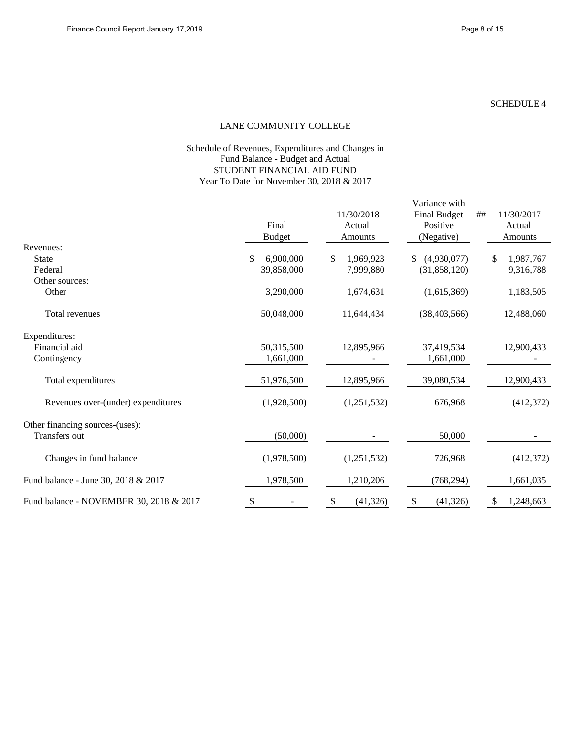#### LANE COMMUNITY COLLEGE

#### Schedule of Revenues, Expenditures and Changes in Fund Balance - Budget and Actual STUDENT FINANCIAL AID FUND Year To Date for November 30, 2018 & 2017

|                                         | Final<br><b>Budget</b> | 11/30/2018<br>Actual<br>Amounts | Variance with<br><b>Final Budget</b><br>Positive<br>(Negative) | 11/30/2017<br>##<br>Actual<br>Amounts |  |
|-----------------------------------------|------------------------|---------------------------------|----------------------------------------------------------------|---------------------------------------|--|
| Revenues:                               |                        |                                 |                                                                |                                       |  |
| <b>State</b>                            | 6,900,000<br>\$        | 1,969,923<br>\$                 | (4,930,077)<br>\$                                              | 1,987,767<br>\$.                      |  |
| Federal                                 | 39,858,000             | 7,999,880                       | (31,858,120)                                                   | 9,316,788                             |  |
| Other sources:                          |                        |                                 |                                                                |                                       |  |
| Other                                   | 3,290,000              | 1,674,631                       | (1,615,369)                                                    | 1,183,505                             |  |
| Total revenues                          | 50,048,000             | 11,644,434                      | (38, 403, 566)                                                 | 12,488,060                            |  |
| Expenditures:                           |                        |                                 |                                                                |                                       |  |
| Financial aid                           | 50,315,500             | 12,895,966                      | 37,419,534                                                     | 12,900,433                            |  |
| Contingency                             | 1,661,000              |                                 | 1,661,000                                                      |                                       |  |
| Total expenditures                      | 51,976,500             | 12,895,966                      | 39,080,534                                                     | 12,900,433                            |  |
| Revenues over-(under) expenditures      | (1,928,500)            | (1,251,532)                     | 676,968                                                        | (412,372)                             |  |
| Other financing sources-(uses):         |                        |                                 |                                                                |                                       |  |
| Transfers out                           | (50,000)               |                                 | 50,000                                                         |                                       |  |
| Changes in fund balance                 | (1,978,500)            | (1,251,532)                     | 726,968                                                        | (412,372)                             |  |
| Fund balance - June 30, 2018 & 2017     | 1,978,500              | 1,210,206                       | (768, 294)                                                     | 1,661,035                             |  |
| Fund balance - NOVEMBER 30, 2018 & 2017 | \$                     | (41, 326)<br>\$                 | (41, 326)<br>\$                                                | 1,248,663<br>S                        |  |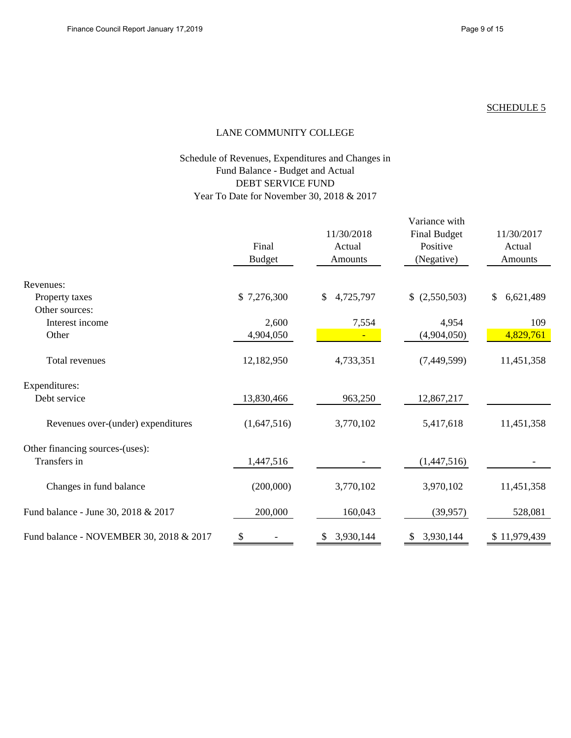# LANE COMMUNITY COLLEGE

## Schedule of Revenues, Expenditures and Changes in Fund Balance - Budget and Actual DEBT SERVICE FUND Year To Date for November 30, 2018 & 2017

|                                         | Final<br><b>Budget</b> | 11/30/2018<br>Actual<br>Amounts | Variance with<br><b>Final Budget</b><br>Positive<br>(Negative) | 11/30/2017<br>Actual<br><b>Amounts</b> |
|-----------------------------------------|------------------------|---------------------------------|----------------------------------------------------------------|----------------------------------------|
| Revenues:                               |                        |                                 |                                                                |                                        |
| Property taxes                          | \$7,276,300            | 4,725,797<br>\$                 | \$ (2,550,503)                                                 | 6,621,489<br>$\mathbb{S}$              |
| Other sources:                          |                        |                                 |                                                                |                                        |
| Interest income                         | 2,600                  | 7,554                           | 4,954                                                          | 109                                    |
| Other                                   | 4,904,050              |                                 | (4,904,050)                                                    | 4,829,761                              |
| Total revenues                          | 12,182,950             | 4,733,351                       | (7,449,599)                                                    | 11,451,358                             |
| Expenditures:                           |                        |                                 |                                                                |                                        |
| Debt service                            | 13,830,466             | 963,250                         | 12,867,217                                                     |                                        |
| Revenues over-(under) expenditures      | (1,647,516)            | 3,770,102                       | 5,417,618                                                      | 11,451,358                             |
| Other financing sources-(uses):         |                        |                                 |                                                                |                                        |
| Transfers in                            | 1,447,516              |                                 | (1,447,516)                                                    |                                        |
| Changes in fund balance                 | (200,000)              | 3,770,102                       | 3,970,102                                                      | 11,451,358                             |
| Fund balance - June 30, 2018 & 2017     | 200,000                | 160,043                         | (39, 957)                                                      | 528,081                                |
| Fund balance - NOVEMBER 30, 2018 & 2017 | \$                     | 3,930,144<br>\$                 | 3,930,144<br>\$                                                | \$11,979,439                           |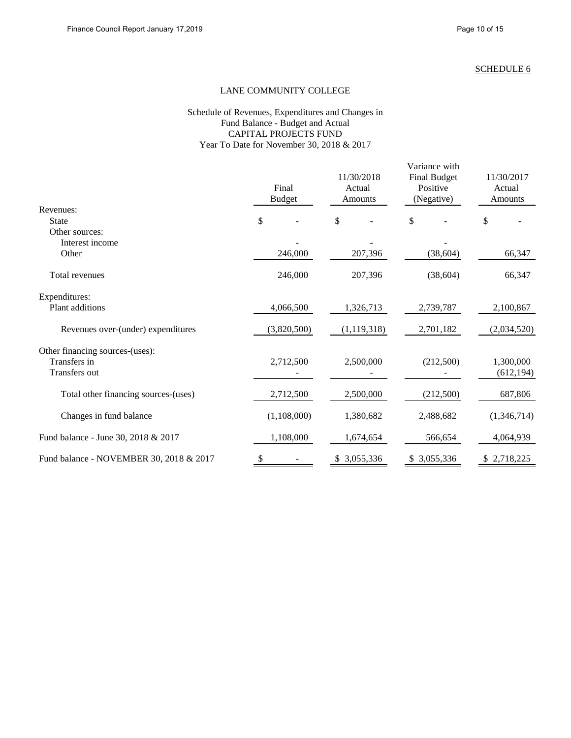### LANE COMMUNITY COLLEGE

#### Schedule of Revenues, Expenditures and Changes in Fund Balance - Budget and Actual CAPITAL PROJECTS FUND Year To Date for November 30, 2018 & 2017

|                                                                  | Final<br><b>Budget</b> | 11/30/2018<br>Actual<br>Amounts | Variance with<br><b>Final Budget</b><br>Positive<br>(Negative) | 11/30/2017<br>Actual<br>Amounts |  |
|------------------------------------------------------------------|------------------------|---------------------------------|----------------------------------------------------------------|---------------------------------|--|
| Revenues:                                                        |                        |                                 |                                                                |                                 |  |
| <b>State</b>                                                     | \$                     | \$                              | \$                                                             | \$                              |  |
| Other sources:<br>Interest income                                |                        |                                 |                                                                |                                 |  |
| Other                                                            | 246,000                | 207,396                         | (38, 604)                                                      | 66,347                          |  |
| Total revenues                                                   | 246,000                | 207,396                         | (38, 604)                                                      | 66,347                          |  |
| Expenditures:                                                    |                        |                                 |                                                                |                                 |  |
| Plant additions                                                  | 4,066,500              | 1,326,713                       | 2,739,787                                                      | 2,100,867                       |  |
| Revenues over-(under) expenditures                               | (3,820,500)            | (1, 119, 318)                   | 2,701,182                                                      | (2,034,520)                     |  |
| Other financing sources-(uses):<br>Transfers in<br>Transfers out | 2,712,500              | 2,500,000                       | (212,500)                                                      | 1,300,000<br>(612, 194)         |  |
| Total other financing sources-(uses)                             | 2,712,500              | 2,500,000                       | (212,500)                                                      | 687,806                         |  |
| Changes in fund balance                                          | (1,108,000)            | 1,380,682                       | 2,488,682                                                      | (1,346,714)                     |  |
| Fund balance - June 30, 2018 & 2017                              | 1,108,000              | 1,674,654                       | 566,654                                                        | 4,064,939                       |  |
| Fund balance - NOVEMBER 30, 2018 & 2017                          | \$                     | 3,055,336<br>\$                 | 3,055,336<br>\$                                                | \$2,718,225                     |  |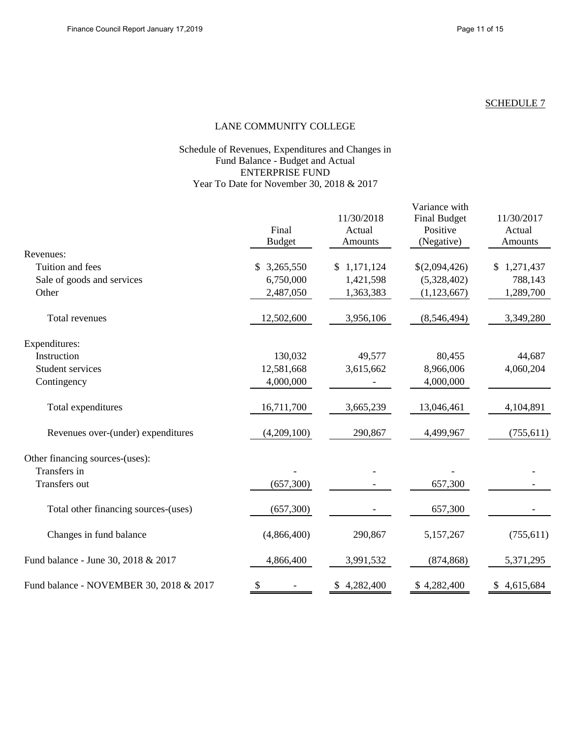#### LANE COMMUNITY COLLEGE

#### Schedule of Revenues, Expenditures and Changes in Fund Balance - Budget and Actual ENTERPRISE FUND Year To Date for November 30, 2018 & 2017

|                                         | Final<br><b>Budget</b> | 11/30/2018<br>Actual<br>Amounts | Variance with<br><b>Final Budget</b><br>Positive<br>(Negative) | 11/30/2017<br>Actual<br>Amounts |  |
|-----------------------------------------|------------------------|---------------------------------|----------------------------------------------------------------|---------------------------------|--|
| Revenues:                               |                        |                                 |                                                                |                                 |  |
| Tuition and fees                        | 3,265,550<br>\$        | \$1,171,124                     | \$(2,094,426)                                                  | \$1,271,437                     |  |
| Sale of goods and services              | 6,750,000              | 1,421,598                       | (5,328,402)                                                    | 788,143                         |  |
| Other                                   | 2,487,050              | 1,363,383                       | (1, 123, 667)                                                  | 1,289,700                       |  |
| Total revenues                          | 12,502,600             | 3,956,106                       | (8,546,494)                                                    | 3,349,280                       |  |
| Expenditures:                           |                        |                                 |                                                                |                                 |  |
| Instruction                             | 130,032                | 49,577                          | 80,455                                                         | 44,687                          |  |
| <b>Student services</b>                 | 12,581,668             | 3,615,662                       | 8,966,006                                                      | 4,060,204                       |  |
| Contingency                             | 4,000,000              |                                 | 4,000,000                                                      |                                 |  |
| Total expenditures                      | 16,711,700             | 3,665,239                       | 13,046,461                                                     | 4,104,891                       |  |
| Revenues over-(under) expenditures      | (4,209,100)            | 290,867                         | 4,499,967                                                      | (755, 611)                      |  |
| Other financing sources-(uses):         |                        |                                 |                                                                |                                 |  |
| Transfers in                            |                        |                                 |                                                                |                                 |  |
| Transfers out                           | (657,300)              |                                 | 657,300                                                        |                                 |  |
| Total other financing sources-(uses)    | (657,300)              |                                 | 657,300                                                        |                                 |  |
| Changes in fund balance                 | (4,866,400)            | 290,867                         | 5,157,267                                                      | (755, 611)                      |  |
| Fund balance - June 30, 2018 & 2017     | 4,866,400              | 3,991,532                       | (874, 868)                                                     | 5,371,295                       |  |
| Fund balance - NOVEMBER 30, 2018 & 2017 | \$                     | \$4,282,400                     | \$4,282,400                                                    | \$4,615,684                     |  |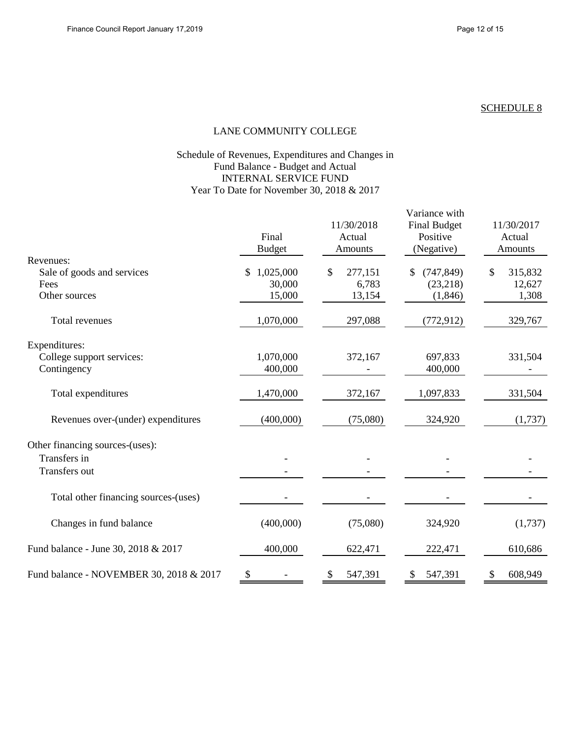#### LANE COMMUNITY COLLEGE

### Schedule of Revenues, Expenditures and Changes in Fund Balance - Budget and Actual INTERNAL SERVICE FUND Year To Date for November 30, 2018 & 2017

|                                         | Final<br><b>Budget</b>    | 11/30/2018<br>Actual<br>Amounts | Variance with<br><b>Final Budget</b><br>Positive<br>(Negative) | 11/30/2017<br>Actual<br>Amounts |  |
|-----------------------------------------|---------------------------|---------------------------------|----------------------------------------------------------------|---------------------------------|--|
| Revenues:                               |                           |                                 |                                                                |                                 |  |
| Sale of goods and services              | 1,025,000<br>\$.          | \$<br>277,151                   | (747, 849)<br>\$                                               | \$<br>315,832                   |  |
| Fees                                    | 30,000                    | 6,783                           | (23,218)                                                       | 12,627                          |  |
| Other sources                           | 15,000                    | 13,154                          | (1,846)                                                        | 1,308                           |  |
| Total revenues                          | 1,070,000                 | 297,088                         | (772, 912)                                                     | 329,767                         |  |
| Expenditures:                           |                           |                                 |                                                                |                                 |  |
| College support services:               | 1,070,000                 | 372,167                         | 697,833                                                        | 331,504                         |  |
| Contingency                             | 400,000                   |                                 | 400,000                                                        |                                 |  |
| Total expenditures                      | 1,470,000                 | 372,167                         | 1,097,833                                                      | 331,504                         |  |
| Revenues over-(under) expenditures      | (400,000)                 | (75,080)                        | 324,920                                                        | (1,737)                         |  |
| Other financing sources-(uses):         |                           |                                 |                                                                |                                 |  |
| Transfers in                            |                           |                                 |                                                                |                                 |  |
| Transfers out                           |                           |                                 |                                                                |                                 |  |
| Total other financing sources-(uses)    |                           |                                 |                                                                |                                 |  |
| Changes in fund balance                 | (400,000)                 | (75,080)                        | 324,920                                                        | (1,737)                         |  |
| Fund balance - June 30, 2018 & 2017     | 400,000                   | 622,471                         | 222,471                                                        | 610,686                         |  |
| Fund balance - NOVEMBER 30, 2018 & 2017 | $\boldsymbol{\mathsf{S}}$ | 547,391                         | 547,391                                                        | \$<br>608,949                   |  |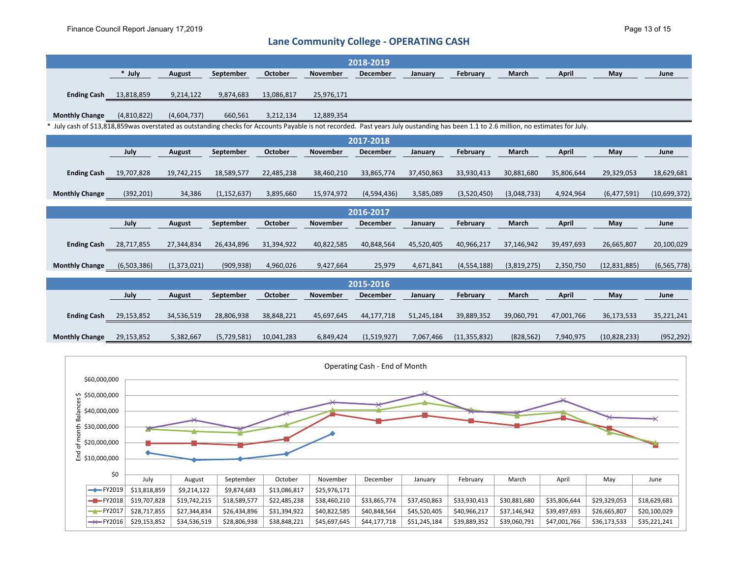# **Lane Community College - OPERATING CASH**

|                                                                                                                                                                                      |                               |             |               |            |                 | 2018-2019                     |            |                |             |              |              |               |
|--------------------------------------------------------------------------------------------------------------------------------------------------------------------------------------|-------------------------------|-------------|---------------|------------|-----------------|-------------------------------|------------|----------------|-------------|--------------|--------------|---------------|
|                                                                                                                                                                                      | * July                        | August      | September     | October    | November        | December                      | January    | February       | March       | <b>April</b> | May          | June          |
| <b>Ending Cash</b> 13,818,859                                                                                                                                                        |                               | 9,214,122   | 9,874,683     | 13,086,817 | 25,976,171      |                               |            |                |             |              |              |               |
| <b>Monthly Change</b>                                                                                                                                                                | (4,810,822)                   | (4,604,737) | 660,561       | 3,212,134  | 12,889,354      |                               |            |                |             |              |              |               |
| * July cash of \$13,818,859was overstated as outstanding checks for Accounts Payable is not recorded. Past years July oustanding has been 1.1 to 2.6 million, no estimates for July. |                               |             |               |            |                 |                               |            |                |             |              |              |               |
|                                                                                                                                                                                      |                               |             |               |            |                 | 2017-2018                     |            |                |             |              |              |               |
|                                                                                                                                                                                      | July                          | August      | September     | October    | <b>November</b> | <b>December</b>               | January    | February       | March       | <b>April</b> | May          | June          |
| <b>Ending Cash</b>                                                                                                                                                                   | 19,707,828                    | 19,742,215  | 18,589,577    | 22,485,238 | 38,460,210      | 33,865,774                    | 37,450,863 | 33,930,413     | 30,881,680  | 35,806,644   | 29,329,053   | 18,629,681    |
| <b>Monthly Change</b>                                                                                                                                                                | (392, 201)                    | 34,386      | (1, 152, 637) | 3,895,660  | 15,974,972      | (4,594,436)                   | 3,585,089  | (3,520,450)    | (3,048,733) | 4,924,964    | (6,477,591)  | (10,699,372)  |
|                                                                                                                                                                                      | 2016-2017                     |             |               |            |                 |                               |            |                |             |              |              |               |
|                                                                                                                                                                                      | July                          | August      | September     | October    | November        | December                      | January    | February       | March       | <b>April</b> | May          | June          |
|                                                                                                                                                                                      | <b>Ending Cash</b> 28,717,855 | 27,344,834  | 26,434,896    | 31,394,922 | 40,822,585      | 40,848,564                    | 45,520,405 | 40,966,217     | 37,146,942  | 39,497,693   | 26,665,807   | 20,100,029    |
| <b>Monthly Change</b>                                                                                                                                                                | (6,503,386)                   | (1,373,021) | (909, 938)    | 4,960,026  | 9,427,664       | 25,979                        | 4,671,841  | (4, 554, 188)  | (3,819,275) | 2,350,750    | (12,831,885) | (6, 565, 778) |
|                                                                                                                                                                                      |                               |             |               |            |                 | 2015-2016                     |            |                |             |              |              |               |
|                                                                                                                                                                                      | July                          | August      | September     | October    | November        | <b>December</b>               | January    | February       | March       | <b>April</b> | May          | June          |
| <b>Ending Cash 29,153,852</b>                                                                                                                                                        |                               | 34,536,519  | 28,806,938    | 38,848,221 | 45,697,645      | 44,177,718                    | 51,245,184 | 39,889,352     | 39,060,791  | 47,001,766   | 36,173,533   | 35,221,241    |
| <b>Monthly Change</b>                                                                                                                                                                | 29,153,852                    | 5,382,667   | (5,729,581)   | 10,041,283 | 6,849,424       | (1,519,927)                   | 7,067,466  | (11, 355, 832) | (828, 562)  | 7,940,975    | (10,828,233) | (952, 292)    |
|                                                                                                                                                                                      |                               |             |               |            |                 | Operating Cash - End of Month |            |                |             |              |              |               |

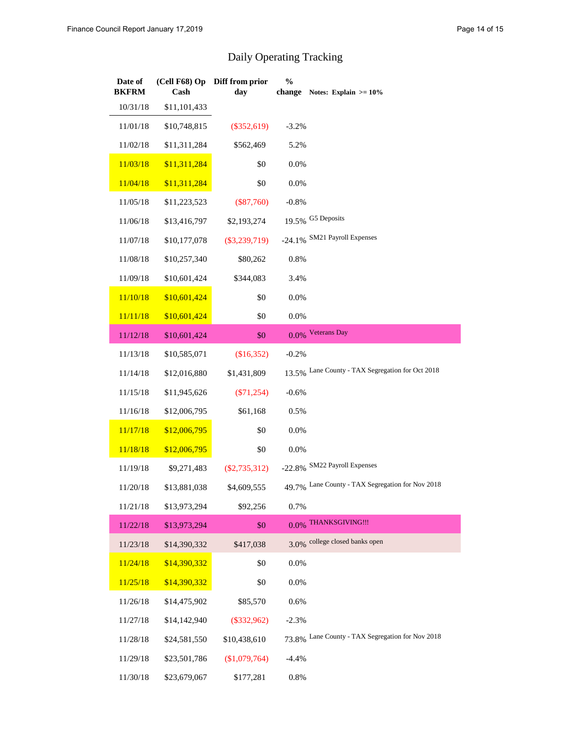# Daily Operating Tracking

| Date of<br><b>BKFRM</b> | Cash         | (Cell F68) Op Diff from prior<br>day | $\frac{0}{0}$ | change Notes: Explain $> = 10\%$                 |
|-------------------------|--------------|--------------------------------------|---------------|--------------------------------------------------|
| 10/31/18                | \$11,101,433 |                                      |               |                                                  |
| 11/01/18                | \$10,748,815 | $(\$352,619)$                        | $-3.2%$       |                                                  |
| 11/02/18                | \$11,311,284 | \$562,469                            | 5.2%          |                                                  |
| 11/03/18                | \$11,311,284 | \$0                                  | 0.0%          |                                                  |
| 11/04/18                | \$11,311,284 | \$0                                  | 0.0%          |                                                  |
| 11/05/18                | \$11,223,523 | $(\$87,760)$                         | $-0.8%$       |                                                  |
| 11/06/18                | \$13,416,797 | \$2,193,274                          |               | 19.5% G5 Deposits                                |
| 11/07/18                | \$10,177,078 | $(\$3,239,719)$                      |               | -24.1% SM21 Payroll Expenses                     |
| 11/08/18                | \$10,257,340 | \$80,262                             | 0.8%          |                                                  |
| 11/09/18                | \$10,601,424 | \$344,083                            | 3.4%          |                                                  |
| 11/10/18                | \$10,601,424 | \$0                                  | 0.0%          |                                                  |
| 11/11/18                | \$10,601,424 | \$0                                  | 0.0%          |                                                  |
| 11/12/18                | \$10,601,424 | \$0                                  |               | 0.0% Veterans Day                                |
| 11/13/18                | \$10,585,071 | (\$16,352)                           | $-0.2%$       |                                                  |
| 11/14/18                | \$12,016,880 | \$1,431,809                          |               | 13.5% Lane County - TAX Segregation for Oct 2018 |
| 11/15/18                | \$11,945,626 | $(\$71,254)$                         | $-0.6%$       |                                                  |
| 11/16/18                | \$12,006,795 | \$61,168                             | 0.5%          |                                                  |
| 11/17/18                | \$12,006,795 | \$0                                  | 0.0%          |                                                  |
| 11/18/18                | \$12,006,795 | \$0                                  | 0.0%          |                                                  |
| 11/19/18                | \$9,271,483  | $(\$2,735,312)$                      |               | -22.8% SM22 Payroll Expenses                     |
| 11/20/18                | \$13,881,038 | \$4,609,555                          |               | 49.7% Lane County - TAX Segregation for Nov 2018 |
| 11/21/18                | \$13,973,294 | \$92,256                             | 0.7%          |                                                  |
| 11/22/18                | \$13,973,294 | \$0                                  |               | 0.0% THANKSGIVING !!!                            |
| 11/23/18                | \$14,390,332 | \$417,038                            |               | 3.0% college closed banks open                   |
| 11/24/18                | \$14,390,332 | \$0                                  | 0.0%          |                                                  |
| 11/25/18                | \$14,390,332 | \$0                                  | 0.0%          |                                                  |
| 11/26/18                | \$14,475,902 | \$85,570                             | 0.6%          |                                                  |
| 11/27/18                | \$14,142,940 | $(\$332,962)$                        | $-2.3%$       |                                                  |
| 11/28/18                | \$24,581,550 | \$10,438,610                         |               | 73.8% Lane County - TAX Segregation for Nov 2018 |
| 11/29/18                | \$23,501,786 | (\$1,079,764)                        | $-4.4%$       |                                                  |
| 11/30/18                | \$23,679,067 | \$177,281                            | 0.8%          |                                                  |